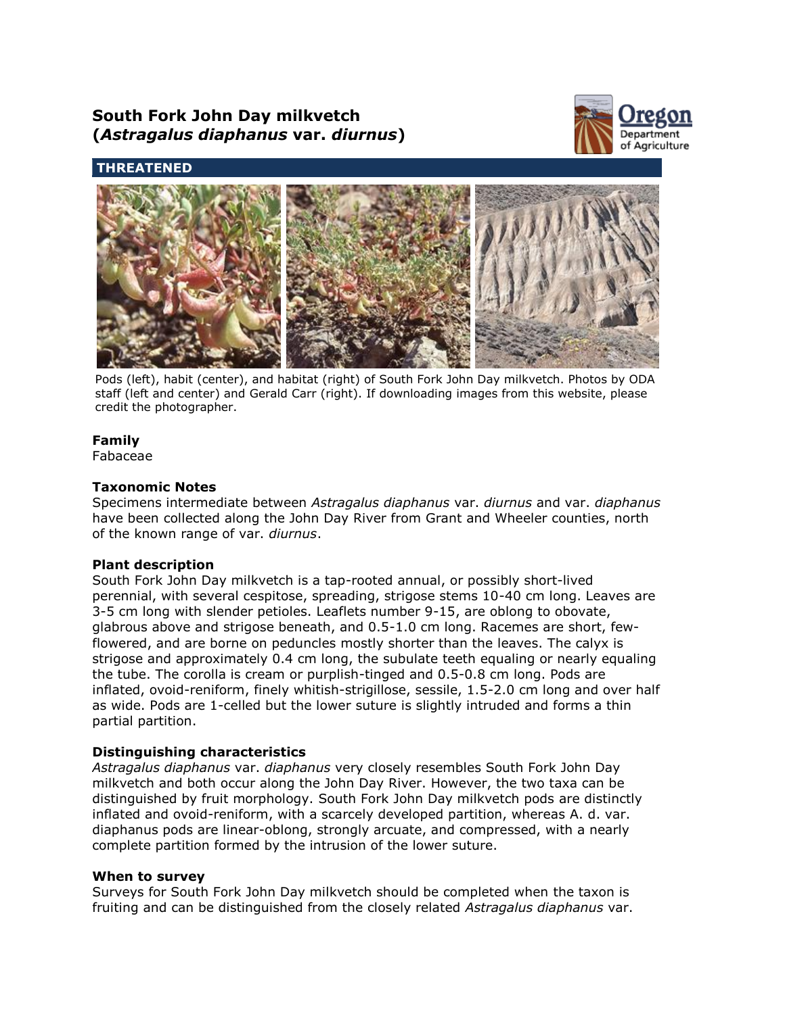# **South Fork John Day milkvetch (***Astragalus diaphanus* **var.** *diurnus***)**



## **THREATENED**



Pods (left), habit (center), and habitat (right) of South Fork John Day milkvetch. Photos by ODA staff (left and center) and Gerald Carr (right). If downloading images from this website, please credit the photographer.

## **Family**

Fabaceae

## **Taxonomic Notes**

Specimens intermediate between *Astragalus diaphanus* var. *diurnus* and var. *diaphanus* have been collected along the John Day River from Grant and Wheeler counties, north of the known range of var. *diurnus*.

## **Plant description**

South Fork John Day milkvetch is a tap-rooted annual, or possibly short-lived perennial, with several cespitose, spreading, strigose stems 10-40 cm long. Leaves are 3-5 cm long with slender petioles. Leaflets number 9-15, are oblong to obovate, glabrous above and strigose beneath, and 0.5-1.0 cm long. Racemes are short, fewflowered, and are borne on peduncles mostly shorter than the leaves. The calyx is strigose and approximately 0.4 cm long, the subulate teeth equaling or nearly equaling the tube. The corolla is cream or purplish-tinged and 0.5-0.8 cm long. Pods are inflated, ovoid-reniform, finely whitish-strigillose, sessile, 1.5-2.0 cm long and over half as wide. Pods are 1-celled but the lower suture is slightly intruded and forms a thin partial partition.

## **Distinguishing characteristics**

*Astragalus diaphanus* var. *diaphanus* very closely resembles South Fork John Day milkvetch and both occur along the John Day River. However, the two taxa can be distinguished by fruit morphology. South Fork John Day milkvetch pods are distinctly inflated and ovoid-reniform, with a scarcely developed partition, whereas A. d. var. diaphanus pods are linear-oblong, strongly arcuate, and compressed, with a nearly complete partition formed by the intrusion of the lower suture.

## **When to survey**

Surveys for South Fork John Day milkvetch should be completed when the taxon is fruiting and can be distinguished from the closely related *Astragalus diaphanus* var.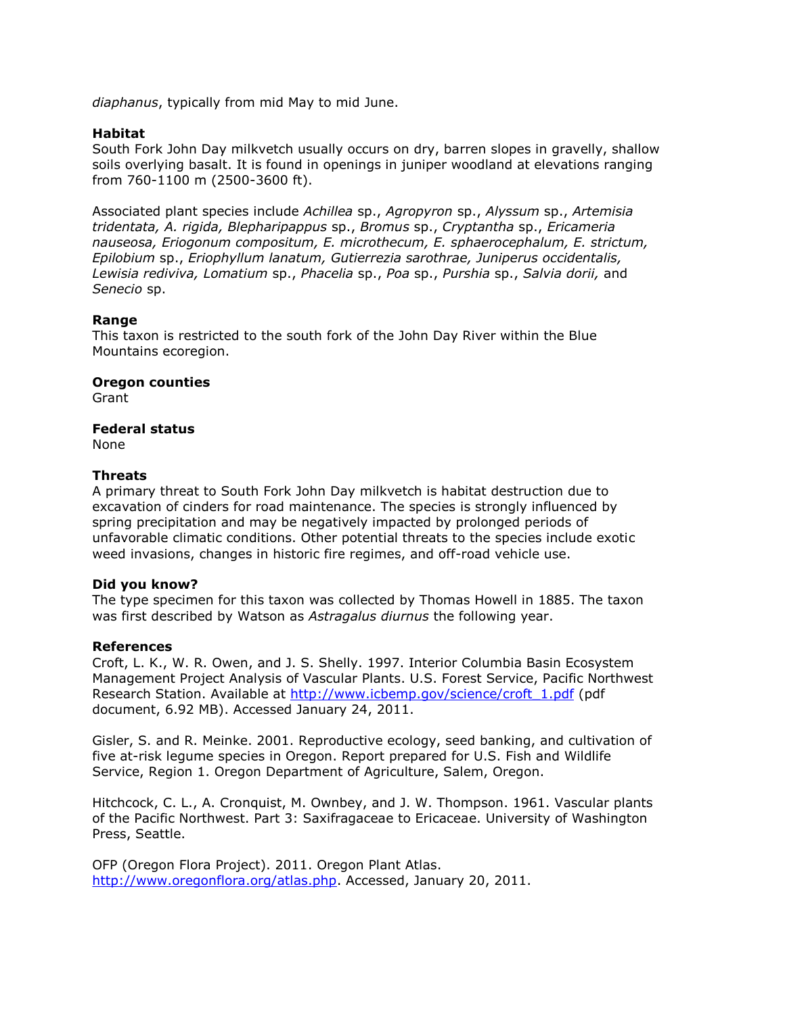*diaphanus*, typically from mid May to mid June.

#### **Habitat**

South Fork John Day milkvetch usually occurs on dry, barren slopes in gravelly, shallow soils overlying basalt. It is found in openings in juniper woodland at elevations ranging from 760-1100 m (2500-3600 ft).

Associated plant species include *Achillea* sp., *Agropyron* sp., *Alyssum* sp., *Artemisia tridentata, A. rigida, Blepharipappus* sp., *Bromus* sp., *Cryptantha* sp., *Ericameria nauseosa, Eriogonum compositum, E. microthecum, E. sphaerocephalum, E. strictum, Epilobium* sp., *Eriophyllum lanatum, Gutierrezia sarothrae, Juniperus occidentalis, Lewisia rediviva, Lomatium* sp., *Phacelia* sp., *Poa* sp., *Purshia* sp., *Salvia dorii,* and *Senecio* sp.

#### **Range**

This taxon is restricted to the south fork of the John Day River within the Blue Mountains ecoregion.

**Oregon counties**

Grant

#### **Federal status**

None

#### **Threats**

A primary threat to South Fork John Day milkvetch is habitat destruction due to excavation of cinders for road maintenance. The species is strongly influenced by spring precipitation and may be negatively impacted by prolonged periods of unfavorable climatic conditions. Other potential threats to the species include exotic weed invasions, changes in historic fire regimes, and off-road vehicle use.

#### **Did you know?**

The type specimen for this taxon was collected by Thomas Howell in 1885. The taxon was first described by Watson as *Astragalus diurnus* the following year.

#### **References**

Croft, L. K., W. R. Owen, and J. S. Shelly. 1997. Interior Columbia Basin Ecosystem Management Project Analysis of Vascular Plants. U.S. Forest Service, Pacific Northwest Research Station. Available at [http://www.icbemp.gov/science/croft\\_1.pdf](http://www.icbemp.gov/science/croft_1.pdf) (pdf document, 6.92 MB). Accessed January 24, 2011.

Gisler, S. and R. Meinke. 2001. Reproductive ecology, seed banking, and cultivation of five at-risk legume species in Oregon. Report prepared for U.S. Fish and Wildlife Service, Region 1. Oregon Department of Agriculture, Salem, Oregon.

Hitchcock, C. L., A. Cronquist, M. Ownbey, and J. W. Thompson. 1961. Vascular plants of the Pacific Northwest. Part 3: Saxifragaceae to Ericaceae. University of Washington Press, Seattle.

OFP (Oregon Flora Project). 2011. Oregon Plant Atlas. [http://www.oregonflora.org/atlas.php.](http://www.oregonflora.org/atlas.php) Accessed, January 20, 2011.